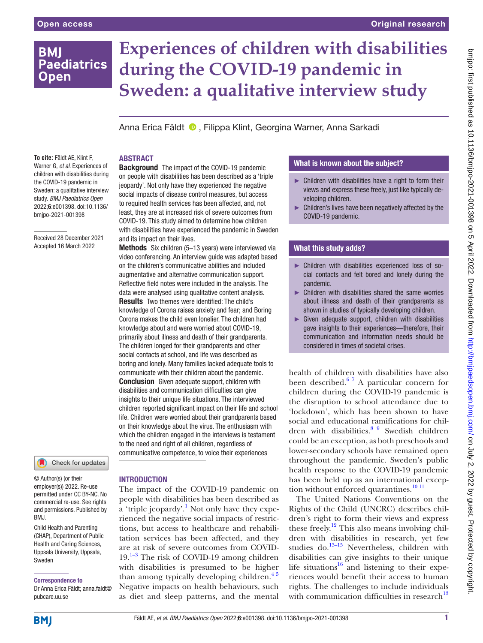## **BMI Paediatrics Open**

# **Experiences of children with disabilities during the COVID-19 pandemic in Sweden: a qualitative interview study**

Anna Erica Fäldt <sup>®</sup>, Filippa Klint, Georgina Warner, Anna Sarkadi

## ABSTRACT

and its impact on their lives.

**Background** The impact of the COVID-19 pandemic on people with disabilities has been described as a 'triple jeopardy'. Not only have they experienced the negative social impacts of disease control measures, but access to required health services has been affected, and, not least, they are at increased risk of severe outcomes from COVID-19. This study aimed to determine how children with disabilities have experienced the pandemic in Sweden

Methods Six children (5–13 years) were interviewed via video conferencing. An interview guide was adapted based on the children's communicative abilities and included augmentative and alternative communication support. Reflective field notes were included in the analysis. The data were analysed using qualitative content analysis. Results Two themes were identified: The child's knowledge of Corona raises anxiety and fear; and Boring Corona makes the child even lonelier. The children had knowledge about and were worried about COVID-19, primarily about illness and death of their grandparents. The children longed for their grandparents and other social contacts at school, and life was described as boring and lonely. Many families lacked adequate tools to communicate with their children about the pandemic. **Conclusion** Given adequate support, children with disabilities and communication difficulties can give insights to their unique life situations. The interviewed children reported significant impact on their life and school life. Children were worried about their grandparents based on their knowledge about the virus. The enthusiasm with which the children engaged in the interviews is testament to the need and right of all children, regardless of communicative competence, to voice their experiences

**To cite:** Fäldt AE, Klint F, Warner G, *et al*. Experiences of children with disabilities during the COVID-19 pandemic in Sweden: a qualitative interview study. *BMJ Paediatrics Open* 2022;6:e001398. doi:10.1136/ bmjpo-2021-001398

Received 28 December 2021 Accepted 16 March 2022



© Author(s) (or their employer(s)) 2022. Re-use permitted under CC BY-NC. No commercial re-use. See rights and permissions. Published by BMJ.

Child Health and Parenting (CHAP), Department of Public Health and Caring Sciences, Uppsala University, Uppsala, Sweden

Correspondence to

Dr Anna Erica Fäldt; anna.faldt@ pubcare.uu.se

## **INTRODUCTION**

The impact of the COVID-19 pandemic on people with disabilities has been described as  $\alpha$  'triple jeopardy'.<sup>1</sup> Not only have they experienced the negative social impacts of restrictions, but access to healthcare and rehabilitation services has been affected, and they are at risk of severe outcomes from COVID- $19.<sup>1-3</sup>$  The risk of COVID-19 among children with disabilities is presumed to be higher than among typically developing children.<sup>45</sup> Negative impacts on health behaviours, such as diet and sleep patterns, and the mental

## What is known about the subject?

- ► Children with disabilities have a right to form their views and express these freely, just like typically developing children.
- ► Children's lives have been negatively affected by the COVID-19 pandemic.

## What this study adds?

- ► Children with disabilities experienced loss of social contacts and felt bored and lonely during the pandemic.
- ► Children with disabilities shared the same worries about illness and death of their grandparents as shown in studies of typically developing children.
- $\blacktriangleright$  Given adequate support, children with disabilities gave insights to their experiences—therefore, their communication and information needs should be considered in times of societal crises.

health of children with disabilities have also been described. $67$  A particular concern for children during the COVID-19 pandemic is the disruption to school attendance due to 'lockdown', which has been shown to have social and educational ramifications for chil-dren with disabilities.<sup>[8 9](#page-6-3)</sup> Swedish children could be an exception, as both preschools and lower-secondary schools have remained open throughout the pandemic. Sweden's public health response to the COVID-19 pandemic has been held up as an international exception without enforced quarantines. $1011$ 

The United Nations Conventions on the Rights of the Child (UNCRC) describes children's right to form their views and express these freely.<sup>12</sup> This also means involving children with disabilities in research, yet few studies do.[13–15](#page-6-6) Nevertheless, children with disabilities can give insights to their unique life situations $16$  and listening to their experiences would benefit their access to human rights. The challenges to include individuals with communication difficulties in research $^{13}$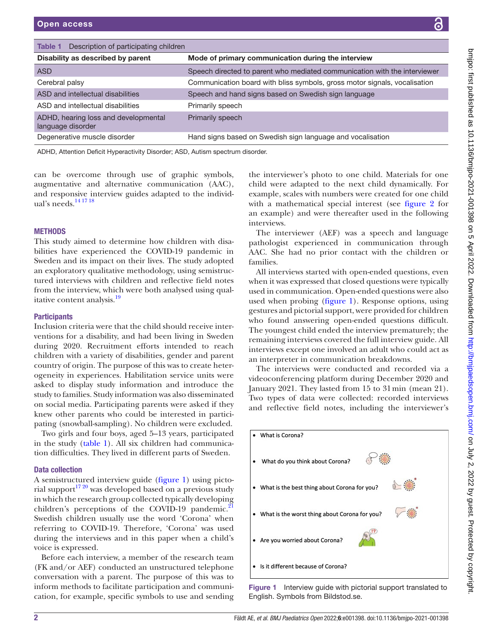| i.                                                                                                                                                                                                                                                                                    |
|---------------------------------------------------------------------------------------------------------------------------------------------------------------------------------------------------------------------------------------------------------------------------------------|
|                                                                                                                                                                                                                                                                                       |
|                                                                                                                                                                                                                                                                                       |
|                                                                                                                                                                                                                                                                                       |
|                                                                                                                                                                                                                                                                                       |
|                                                                                                                                                                                                                                                                                       |
|                                                                                                                                                                                                                                                                                       |
|                                                                                                                                                                                                                                                                                       |
|                                                                                                                                                                                                                                                                                       |
|                                                                                                                                                                                                                                                                                       |
|                                                                                                                                                                                                                                                                                       |
| ,,,,                                                                                                                                                                                                                                                                                  |
|                                                                                                                                                                                                                                                                                       |
|                                                                                                                                                                                                                                                                                       |
|                                                                                                                                                                                                                                                                                       |
|                                                                                                                                                                                                                                                                                       |
|                                                                                                                                                                                                                                                                                       |
|                                                                                                                                                                                                                                                                                       |
|                                                                                                                                                                                                                                                                                       |
|                                                                                                                                                                                                                                                                                       |
| <b>SAS Transportance and the Contract of The Contract of The Contract Commutation Contract of The Contract of The Contract Of The Contract Of The Contract Of The Contract Of The Contract Of The Contract Of The Contract Of Th</b><br><b>1977-7-1977-1978</b> 1978 1978 1979-2020 1 |
|                                                                                                                                                                                                                                                                                       |
|                                                                                                                                                                                                                                                                                       |
|                                                                                                                                                                                                                                                                                       |
|                                                                                                                                                                                                                                                                                       |
|                                                                                                                                                                                                                                                                                       |
|                                                                                                                                                                                                                                                                                       |
|                                                                                                                                                                                                                                                                                       |
|                                                                                                                                                                                                                                                                                       |
|                                                                                                                                                                                                                                                                                       |
|                                                                                                                                                                                                                                                                                       |
|                                                                                                                                                                                                                                                                                       |
|                                                                                                                                                                                                                                                                                       |
|                                                                                                                                                                                                                                                                                       |
|                                                                                                                                                                                                                                                                                       |
|                                                                                                                                                                                                                                                                                       |
|                                                                                                                                                                                                                                                                                       |
|                                                                                                                                                                                                                                                                                       |
|                                                                                                                                                                                                                                                                                       |
|                                                                                                                                                                                                                                                                                       |
|                                                                                                                                                                                                                                                                                       |
|                                                                                                                                                                                                                                                                                       |
|                                                                                                                                                                                                                                                                                       |
|                                                                                                                                                                                                                                                                                       |
|                                                                                                                                                                                                                                                                                       |
|                                                                                                                                                                                                                                                                                       |
|                                                                                                                                                                                                                                                                                       |
|                                                                                                                                                                                                                                                                                       |
|                                                                                                                                                                                                                                                                                       |
|                                                                                                                                                                                                                                                                                       |
|                                                                                                                                                                                                                                                                                       |
|                                                                                                                                                                                                                                                                                       |
|                                                                                                                                                                                                                                                                                       |
| ֺ֞֝                                                                                                                                                                                                                                                                                   |
|                                                                                                                                                                                                                                                                                       |
|                                                                                                                                                                                                                                                                                       |
|                                                                                                                                                                                                                                                                                       |
|                                                                                                                                                                                                                                                                                       |
|                                                                                                                                                                                                                                                                                       |
|                                                                                                                                                                                                                                                                                       |
|                                                                                                                                                                                                                                                                                       |
|                                                                                                                                                                                                                                                                                       |
|                                                                                                                                                                                                                                                                                       |
|                                                                                                                                                                                                                                                                                       |
|                                                                                                                                                                                                                                                                                       |
|                                                                                                                                                                                                                                                                                       |
|                                                                                                                                                                                                                                                                                       |
|                                                                                                                                                                                                                                                                                       |
|                                                                                                                                                                                                                                                                                       |
|                                                                                                                                                                                                                                                                                       |
|                                                                                                                                                                                                                                                                                       |
|                                                                                                                                                                                                                                                                                       |
|                                                                                                                                                                                                                                                                                       |
|                                                                                                                                                                                                                                                                                       |
|                                                                                                                                                                                                                                                                                       |
|                                                                                                                                                                                                                                                                                       |
|                                                                                                                                                                                                                                                                                       |
| <br> <br> <br>                                                                                                                                                                                                                                                                        |
|                                                                                                                                                                                                                                                                                       |
| ֧֧֧֢ׅ֧ׅ֧֧֧֧ׅ֧֚֚֚֚֚֚֚֚֚֚֚֚֚֚֚֚֚֚֚֚֝֟֟֝֓֜֝֟֓֝֓֝֓֜                                                                                                                                                                                                                                       |
|                                                                                                                                                                                                                                                                                       |
|                                                                                                                                                                                                                                                                                       |
|                                                                                                                                                                                                                                                                                       |
|                                                                                                                                                                                                                                                                                       |
|                                                                                                                                                                                                                                                                                       |
|                                                                                                                                                                                                                                                                                       |
|                                                                                                                                                                                                                                                                                       |
|                                                                                                                                                                                                                                                                                       |
|                                                                                                                                                                                                                                                                                       |
|                                                                                                                                                                                                                                                                                       |
|                                                                                                                                                                                                                                                                                       |
|                                                                                                                                                                                                                                                                                       |
|                                                                                                                                                                                                                                                                                       |
|                                                                                                                                                                                                                                                                                       |

<span id="page-1-0"></span>

| Description of participating children<br>Table 1          |                                                                           |
|-----------------------------------------------------------|---------------------------------------------------------------------------|
| Disability as described by parent                         | Mode of primary communication during the interview                        |
| <b>ASD</b>                                                | Speech directed to parent who mediated communication with the interviewer |
| Cerebral palsy                                            | Communication board with bliss symbols, gross motor signals, vocalisation |
| ASD and intellectual disabilities                         | Speech and hand signs based on Swedish sign language                      |
| ASD and intellectual disabilities                         | Primarily speech                                                          |
| ADHD, hearing loss and developmental<br>language disorder | Primarily speech                                                          |
| Degenerative muscle disorder                              | Hand signs based on Swedish sign language and vocalisation                |
|                                                           |                                                                           |

ADHD, Attention Deficit Hyperactivity Disorder; ASD, Autism spectrum disorder.

can be overcome through use of graphic symbols, augmentative and alternative communication (AAC), and responsive interview guides adapted to the individual's needs[.14 17 18](#page-6-8)

## **METHODS**

This study aimed to determine how children with disabilities have experienced the COVID-19 pandemic in Sweden and its impact on their lives. The study adopted an exploratory qualitative methodology, using semistructured interviews with children and reflective field notes from the interview, which were both analysed using qual-itative content analysis.<sup>[19](#page-6-9)</sup>

#### **Participants**

Inclusion criteria were that the child should receive interventions for a disability, and had been living in Sweden during 2020. Recruitment efforts intended to reach children with a variety of disabilities, gender and parent country of origin. The purpose of this was to create heterogeneity in experiences. Habilitation service units were asked to display study information and introduce the study to families. Study information was also disseminated on social media. Participating parents were asked if they knew other parents who could be interested in participating (snowball-sampling). No children were excluded.

Two girls and four boys, aged 5–13 years, participated in the study ([table](#page-1-0) 1). All six children had communication difficulties. They lived in different parts of Sweden.

#### Data collection

A semistructured interview guide [\(figure](#page-1-1) 1) using pictorial support<sup>17 20</sup> was developed based on a previous study in which the research group collected typically developing children's perceptions of the COVID-19 pandemic. $^{21}$  $^{21}$  $^{21}$ Swedish children usually use the word 'Corona' when referring to COVID-19. Therefore, 'Corona' was used during the interviews and in this paper when a child's voice is expressed.

Before each interview, a member of the research team (FK and/or AEF) conducted an unstructured telephone conversation with a parent. The purpose of this was to inform methods to facilitate participation and communication, for example, specific symbols to use and sending

the interviewer's photo to one child. Materials for one child were adapted to the next child dynamically. For example, scales with numbers were created for one child with a mathematical special interest (see [figure](#page-2-0) 2 for an example) and were thereafter used in the following interviews.

The interviewer (AEF) was a speech and language pathologist experienced in communication through AAC. She had no prior contact with the children or families.

All interviews started with open-ended questions, even when it was expressed that closed questions were typically used in communication. Open-ended questions were also used when probing ([figure](#page-1-1) 1). Response options, using gestures and pictorial support, were provided for children who found answering open-ended questions difficult. The youngest child ended the interview prematurely; the remaining interviews covered the full interview guide. All interviews except one involved an adult who could act as an interpreter in communication breakdowns.

The interviews were conducted and recorded via a videoconferencing platform during December 2020 and January 2021. They lasted from 15 to 31min (mean 21). Two types of data were collected: recorded interviews and reflective field notes, including the interviewer's



<span id="page-1-1"></span>Figure 1 Interview guide with pictorial support translated to English. Symbols from Bildstod.se.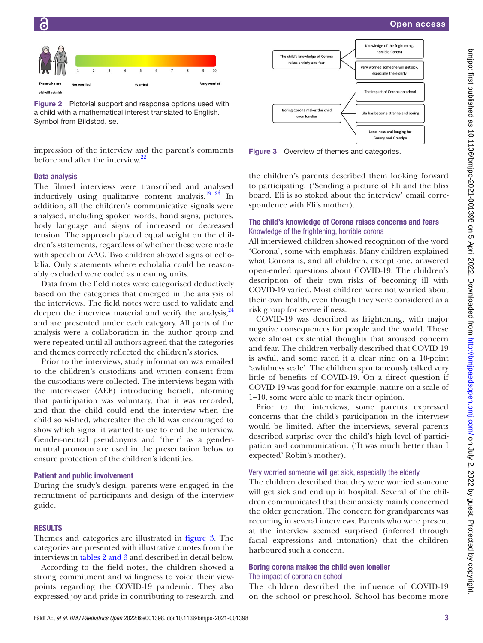



<span id="page-2-0"></span>Figure 2 Pictorial support and response options used with a child with a mathematical interest translated to English. Symbol from Bildstod. se.

impression of the interview and the parent's comments before and after the interview.<sup>22</sup>

#### Data analysis

The filmed interviews were transcribed and analysed inductively using qualitative content analysis.<sup>19</sup> <sup>23</sup> In addition, all the children's communicative signals were analysed, including spoken words, hand signs, pictures, body language and signs of increased or decreased tension. The approach placed equal weight on the children's statements, regardless of whether these were made with speech or AAC. Two children showed signs of echolalia. Only statements where echolalia could be reasonably excluded were coded as meaning units.

Data from the field notes were categorised deductively based on the categories that emerged in the analysis of the interviews. The field notes were used to validate and deepen the interview material and verify the analysis, $24$ and are presented under each category. All parts of the analysis were a collaboration in the author group and were repeated until all authors agreed that the categories and themes correctly reflected the children's stories.

Prior to the interviews, study information was emailed to the children's custodians and written consent from the custodians were collected. The interviews began with the interviewer (AEF) introducing herself, informing that participation was voluntary, that it was recorded, and that the child could end the interview when the child so wished, whereafter the child was encouraged to show which signal it wanted to use to end the interview. Gender-neutral pseudonyms and 'their' as a genderneutral pronoun are used in the presentation below to ensure protection of the children's identities.

#### Patient and public involvement

During the study's design, parents were engaged in the recruitment of participants and design of the interview guide.

#### **RESULTS**

Themes and categories are illustrated in [figure](#page-2-1) 3. The categories are presented with illustrative quotes from the interviews in tables [2 and 3](#page-3-0) and described in detail below.

According to the field notes, the children showed a strong commitment and willingness to voice their viewpoints regarding the COVID-19 pandemic. They also expressed joy and pride in contributing to research, and



<span id="page-2-1"></span>Figure 3 Overview of themes and categories.

the children's parents described them looking forward to participating. ('Sending a picture of Eli and the bliss board. Eli is so stoked about the interview' email correspondence with Eli's mother).

## The child's knowledge of Corona raises concerns and fears Knowledge of the frightening, horrible corona

All interviewed children showed recognition of the word 'Corona', some with emphasis. Many children explained what Corona is, and all children, except one, answered open-ended questions about COVID-19. The children's description of their own risks of becoming ill with COVID-19 varied. Most children were not worried about their own health, even though they were considered as a risk group for severe illness.

COVID-19 was described as frightening, with major negative consequences for people and the world. These were almost existential thoughts that aroused concern and fear. The children verbally described that COVID-19 is awful, and some rated it a clear nine on a 10-point 'awfulness scale'. The children spontaneously talked very little of benefits of COVID-19. On a direct question if COVID-19 was good for for example, nature on a scale of 1–10, some were able to mark their opinion.

Prior to the interviews, some parents expressed concerns that the child's participation in the interview would be limited. After the interviews, several parents described surprise over the child's high level of participation and communication. ('It was much better than I expected' Robin's mother).

#### Very worried someone will get sick, especially the elderly

The children described that they were worried someone will get sick and end up in hospital. Several of the children communicated that their anxiety mainly concerned the older generation. The concern for grandparents was recurring in several interviews. Parents who were present at the interview seemed surprised (inferred through facial expressions and intonation) that the children harboured such a concern.

## Boring corona makes the child even lonelier The impact of corona on school

The children described the influence of COVID-19 on the school or preschool. School has become more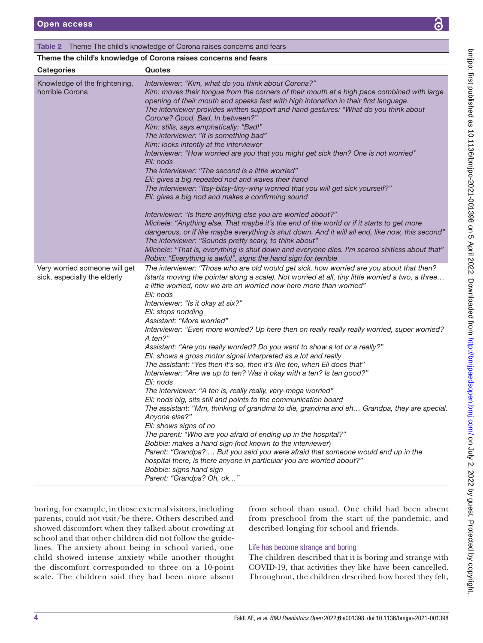## <span id="page-3-0"></span>Table 2 Theme The child's knowledge of Corona raises concerns and fears

## Theme the child's knowledge of Corona raises concerns and fears

| <b>Categories</b>                                             | Quotes                                                                                                                                                                                                                                                                                                                                                                                                                                                                                                                                                                                                                                                                                                                                                                                                                                                                                                                                                                                                                                                                                                                                                                                                                                                                                                                                                                                                                                    |
|---------------------------------------------------------------|-------------------------------------------------------------------------------------------------------------------------------------------------------------------------------------------------------------------------------------------------------------------------------------------------------------------------------------------------------------------------------------------------------------------------------------------------------------------------------------------------------------------------------------------------------------------------------------------------------------------------------------------------------------------------------------------------------------------------------------------------------------------------------------------------------------------------------------------------------------------------------------------------------------------------------------------------------------------------------------------------------------------------------------------------------------------------------------------------------------------------------------------------------------------------------------------------------------------------------------------------------------------------------------------------------------------------------------------------------------------------------------------------------------------------------------------|
| Knowledge of the frightening,<br>horrible Corona              | Interviewer: "Kim, what do you think about Corona?"<br>Kim: moves their tongue from the corners of their mouth at a high pace combined with large<br>opening of their mouth and speaks fast with high intonation in their first language.<br>The interviewer provides written support and hand gestures: "What do you think about<br>Corona? Good, Bad, In between?"<br>Kim: stills, says emphatically: "Bad!"<br>The interviewer: "It is something bad"<br>Kim: looks intently at the interviewer<br>Interviewer: "How worried are you that you might get sick then? One is not worried"<br>Eli: nods<br>The interviewer: "The second is a little worried"<br>Eli: gives a big repeated nod and waves their hand<br>The interviewer: "Itsy-bitsy-tiny-winy worried that you will get sick yourself?"<br>Eli: gives a big nod and makes a confirming sound<br>Interviewer: "Is there anything else you are worried about?"<br>Michele: "Anything else. That maybe it's the end of the world or if it starts to get more<br>dangerous, or if like maybe everything is shut down. And it will all end, like now, this second"<br>The interviewer: "Sounds pretty scary, to think about"<br>Michele: "That is, everything is shut down and everyone dies. I'm scared shitless about that"<br>Robin: "Everything is awful", signs the hand sign for terrible                                                                                  |
| Very worried someone will get<br>sick, especially the elderly | The interviewer: "Those who are old would get sick, how worried are you about that then?<br>(starts moving the pointer along a scale). Not worried at all, tiny little worried a two, a three<br>a little worried, now we are on worried now here more than worried"<br>Eli: nods<br>Interviewer: "Is it okay at six?"<br>Eli: stops nodding<br>Assistant: "More worried"<br>Interviewer: "Even more worried? Up here then on really really really worried, super worried?<br>A ten?"<br>Assistant: "Are you really worried? Do you want to show a lot or a really?"<br>Eli: shows a gross motor signal interpreted as a lot and really<br>The assistant: "Yes then it's so, then it's like ten, when Eli does that"<br>Interviewer: "Are we up to ten? Was it okay with a ten? Is ten good?"<br>Eli: nods<br>The interviewer: "A ten is, really really, very-mega worried"<br>Eli: nods big, sits still and points to the communication board<br>The assistant: "Mm, thinking of grandma to die, grandma and eh Grandpa, they are special.<br>Anyone else?"<br>Eli: shows signs of no<br>The parent: "Who are you afraid of ending up in the hospital?"<br>Bobbie: makes a hand sign (not known to the interviewer)<br>Parent: "Grandpa?  But you said you were afraid that someone would end up in the<br>hospital there, is there anyone in particular you are worried about?"<br>Bobbie: signs hand sign<br>Parent: "Grandpa? Oh, ok" |

boring, for example, in those external visitors, including parents, could not visit/be there. Others described and showed discomfort when they talked about crowding at school and that other children did not follow the guidelines. The anxiety about being in school varied, one child showed intense anxiety while another thought the discomfort corresponded to three on a 10-point scale. The children said they had been more absent

from school than usual. One child had been absent from preschool from the start of the pandemic, and described longing for school and friends.

## Life has become strange and boring

The children described that it is boring and strange with COVID-19, that activities they like have been cancelled. Throughout, the children described how bored they felt,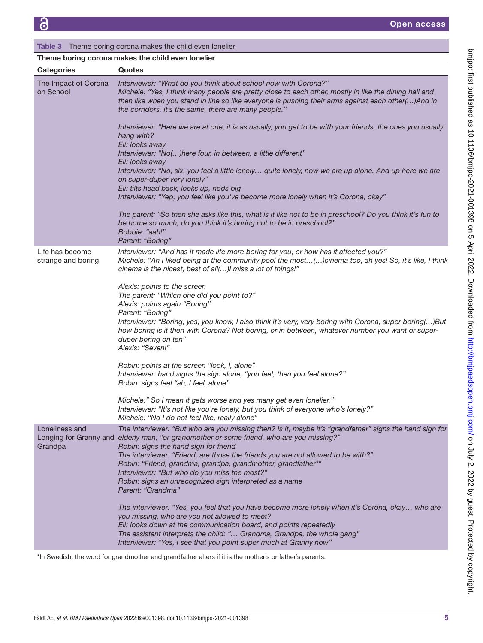| <b>Table 3</b> Theme boring corona makes the child even lonelier |                                                                                                                                                                                                                                                                                                                                                                                                                                                                                                                                   |  |
|------------------------------------------------------------------|-----------------------------------------------------------------------------------------------------------------------------------------------------------------------------------------------------------------------------------------------------------------------------------------------------------------------------------------------------------------------------------------------------------------------------------------------------------------------------------------------------------------------------------|--|
| Theme boring corona makes the child even lonelier                |                                                                                                                                                                                                                                                                                                                                                                                                                                                                                                                                   |  |
| <b>Categories</b>                                                | Quotes                                                                                                                                                                                                                                                                                                                                                                                                                                                                                                                            |  |
| The Impact of Corona<br>on School                                | Interviewer: "What do you think about school now with Corona?"<br>Michele: "Yes, I think many people are pretty close to each other, mostly in like the dining hall and<br>then like when you stand in line so like everyone is pushing their arms against each other() And in<br>the corridors, it's the same, there are many people."                                                                                                                                                                                           |  |
|                                                                  | Interviewer: "Here we are at one, it is as usually, you get to be with your friends, the ones you usually<br>hang with?<br>Eli: looks away                                                                                                                                                                                                                                                                                                                                                                                        |  |
|                                                                  | Interviewer: "No()here four, in between, a little different"<br>Eli: looks away<br>Interviewer: "No, six, you feel a little lonely quite lonely, now we are up alone. And up here we are<br>on super-duper very lonely"                                                                                                                                                                                                                                                                                                           |  |
|                                                                  | Eli: tilts head back, looks up, nods big<br>Interviewer: "Yep, you feel like you've become more lonely when it's Corona, okay"                                                                                                                                                                                                                                                                                                                                                                                                    |  |
|                                                                  | The parent: "So then she asks like this, what is it like not to be in preschool? Do you think it's fun to<br>be home so much, do you think it's boring not to be in preschool?"<br>Bobbie: "aah!"<br>Parent: "Boring"                                                                                                                                                                                                                                                                                                             |  |
| Life has become<br>strange and boring                            | Interviewer: "And has it made life more boring for you, or how has it affected you?"<br>Michele: "Ah I liked being at the community pool the most()cinema too, ah yes! So, it's like, I think<br>cinema is the nicest, best of all()I miss a lot of things!"                                                                                                                                                                                                                                                                      |  |
|                                                                  | Alexis: points to the screen<br>The parent: "Which one did you point to?"<br>Alexis: points again "Boring"<br>Parent: "Boring"<br>Interviewer: "Boring, yes, you know, I also think it's very, very boring with Corona, super boring()But<br>how boring is it then with Corona? Not boring, or in between, whatever number you want or super-<br>duper boring on ten"<br>Alexis: "Seven!"                                                                                                                                         |  |
|                                                                  | Robin: points at the screen "look, I, alone"<br>Interviewer: hand signs the sign alone, "you feel, then you feel alone?"<br>Robin: signs feel "ah, I feel, alone"                                                                                                                                                                                                                                                                                                                                                                 |  |
|                                                                  | Michele:" So I mean it gets worse and yes many get even lonelier."<br>Interviewer: "It's not like you're lonely, but you think of everyone who's lonely?"<br>Michele: "No I do not feel like, really alone"                                                                                                                                                                                                                                                                                                                       |  |
| Loneliness and<br>Grandpa                                        | The interviewer: "But who are you missing then? Is it, maybe it's "grandfather" signs the hand sign for<br>Longing for Granny and elderly man, "or grandmother or some friend, who are you missing?"<br>Robin: signs the hand sign for friend<br>The interviewer: "Friend, are those the friends you are not allowed to be with?"<br>Robin: "Friend, grandma, grandpa, grandmother, grandfather*"<br>Interviewer: "But who do you miss the most?"<br>Robin: signs an unrecognized sign interpreted as a name<br>Parent: "Grandma" |  |
|                                                                  | The interviewer: "Yes, you feel that you have become more lonely when it's Corona, okay who are<br>you missing, who are you not allowed to meet?<br>Eli: looks down at the communication board, and points repeatedly<br>The assistant interprets the child: " Grandma, Grandpa, the whole gang"<br>Interviewer: "Yes, I see that you point super much at Granny now"                                                                                                                                                             |  |

\*In Swedish, the word for grandmother and grandfather alters if it is the mother's or father's parents.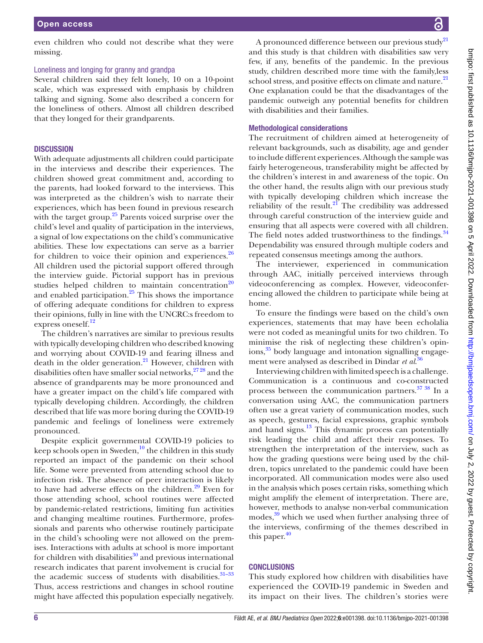even children who could not describe what they were missing.

#### Loneliness and longing for granny and grandpa

Several children said they felt lonely, 10 on a 10-point scale, which was expressed with emphasis by children talking and signing. Some also described a concern for the loneliness of others. Almost all children described that they longed for their grandparents.

#### **DISCUSSION**

With adequate adjustments all children could participate in the interviews and describe their experiences. The children showed great commitment and, according to the parents, had looked forward to the interviews. This was interpreted as the children's wish to narrate their experiences, which has been found in previous research with the target group. $25$  Parents voiced surprise over the child's level and quality of participation in the interviews, a signal of low expectations on the child's communicative abilities. These low expectations can serve as a barrier for children to voice their opinion and experiences. $26$ All children used the pictorial support offered through the interview guide. Pictorial support has in previous studies helped children to maintain concentration $20$ and enabled participation. $25$  This shows the importance of offering adequate conditions for children to express their opinions, fully in line with the UNCRC:s freedom to express oneself.<sup>[12](#page-6-5)</sup>

The children's narratives are similar to previous results with typically developing children who described knowing and worrying about COVID-19 and fearing illness and death in the older generation. $^{21}$  However, children with disabilities often have smaller social networks,  $27\frac{28}{128}$  and the absence of grandparents may be more pronounced and have a greater impact on the child's life compared with typically developing children. Accordingly, the children described that life was more boring during the COVID-19 pandemic and feelings of loneliness were extremely pronounced.

Despite explicit governmental COVID-19 policies to keep schools open in Sweden, $10$  the children in this study reported an impact of the pandemic on their school life. Some were prevented from attending school due to infection risk. The absence of peer interaction is likely to have had adverse effects on the children. $29$  Even for those attending school, school routines were affected by pandemic-related restrictions, limiting fun activities and changing mealtime routines. Furthermore, professionals and parents who otherwise routinely participate in the child's schooling were not allowed on the premises. Interactions with adults at school is more important for children with disabilities $30$  and previous international research indicates that parent involvement is crucial for the academic success of students with disabilities. $31-33$ Thus, access restrictions and changes in school routine might have affected this population especially negatively.

A pronounced difference between our previous study<sup>21</sup> and this study is that children with disabilities saw very few, if any, benefits of the pandemic. In the previous study, children described more time with the family,less school stress, and positive effects on climate and nature.<sup>[21](#page-6-11)</sup> One explanation could be that the disadvantages of the pandemic outweigh any potential benefits for children with disabilities and their families.

#### Methodological considerations

The recruitment of children aimed at heterogeneity of relevant backgrounds, such as disability, age and gender to include different experiences. Although the sample was fairly heterogeneous, transferability might be affected by the children's interest in and awareness of the topic. On the other hand, the results align with our previous study with typically developing children which increase the reliability of the result. $2I$  The credibility was addressed through careful construction of the interview guide and ensuring that all aspects were covered with all children. The field notes added trustworthiness to the findings.<sup>34</sup> Dependability was ensured through multiple coders and repeated consensus meetings among the authors.

The interviewer, experienced in communication through AAC, initially perceived interviews through videoconferencing as complex. However, videoconferencing allowed the children to participate while being at home.

To ensure the findings were based on the child's own experiences, statements that may have been echolalia were not coded as meaningful units for two children. To minimise the risk of neglecting these children's opin-ions,<sup>[35](#page-7-6)</sup> body language and intonation signalling engagement were analysed as described in Dindar *et al*. [36](#page-7-7)

Interviewing children with limited speech is a challenge. Communication is a continuous and co-constructed process between the communication partners.<sup>37</sup> <sup>38</sup> In a conversation using AAC, the communication partners often use a great variety of communication modes, such as speech, gestures, facial expressions, graphic symbols and hand signs. $13$  This dynamic process can potentially risk leading the child and affect their responses. To strengthen the interpretation of the interview, such as how the grading questions were being used by the children, topics unrelated to the pandemic could have been incorporated. All communication modes were also used in the analysis which poses certain risks, something which might amplify the element of interpretation. There are, however, methods to analyse non-verbal communication modes,<sup>39</sup> which we used when further analysing three of the interviews, confirming of the themes described in this paper. $40$ 

## **CONCLUSIONS**

This study explored how children with disabilities have experienced the COVID-19 pandemic in Sweden and its impact on their lives. The children's stories were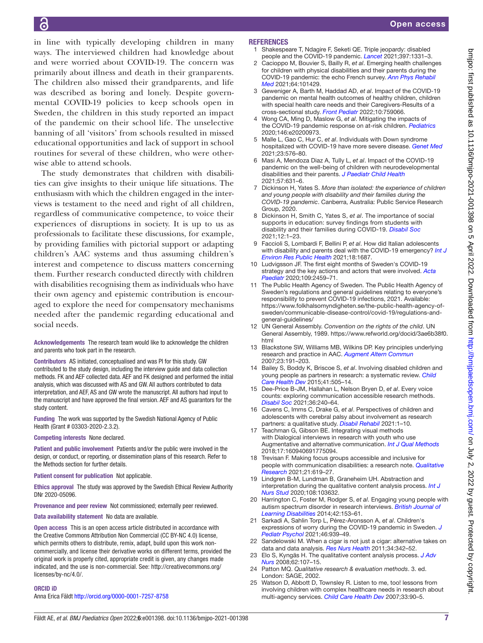in line with typically developing children in many ways. The interviewed children had knowledge about and were worried about COVID-19. The concern was primarily about illness and death in their granparents. The children also missed their grandparents, and life was described as boring and lonely. Despite governmental COVID-19 policies to keep schools open in Sweden, the children in this study reported an impact of the pandemic on their school life. The unselective banning of all 'visitors' from schools resulted in missed educational opportunities and lack of support in school routines for several of these children, who were otherwise able to attend schools.

The study demonstrates that children with disabilities can give insights to their unique life situations. The enthusiasm with which the children engaged in the interviews is testament to the need and right of all children, regardless of communicative competence, to voice their experiences of disruptions in society. It is up to us as professionals to facilitate these discussions, for example, by providing families with pictorial support or adapting children's AAC systems and thus assuming children's interest and competence to discuss matters concerning them. Further research conducted directly with children with disabilities recognising them as individuals who have their own agency and epistemic contribution is encouraged to explore the need for compensatory mechanisms needed after the pandemic regarding educational and social needs.

Acknowledgements The research team would like to acknowledge the children and parents who took part in the research.

Contributors AS initiated, conceptualised and was PI for this study. GW contributed to the study design, including the interview guide and data collection methods. FK and AEF collected data. AEF and FK designed and performed the initial analysis, which was discussed with AS and GW. All authors contributed to data interpretation, and AEF, AS and GW wrote the manuscript. All authors had input to the manuscript and have approved the final version. AEF and AS guarantors for the study content.

Funding The work was supported by the Swedish National Agency of Public Health (Grant # 03303-2020-2.3.2).

Competing interests None declared.

Patient and public involvement Patients and/or the public were involved in the design, or conduct, or reporting, or dissemination plans of this research. Refer to the Methods section for further details.

Patient consent for publication Not applicable.

Ethics approval The study was approved by the Swedish Ethical Review Authority DNr 2020-05096.

Provenance and peer review Not commissioned; externally peer reviewed.

Data availability statement No data are available.

Open access This is an open access article distributed in accordance with the Creative Commons Attribution Non Commercial (CC BY-NC 4.0) license, which permits others to distribute, remix, adapt, build upon this work noncommercially, and license their derivative works on different terms, provided the original work is properly cited, appropriate credit is given, any changes made indicated, and the use is non-commercial. See: [http://creativecommons.org/](http://creativecommons.org/licenses/by-nc/4.0/) [licenses/by-nc/4.0/.](http://creativecommons.org/licenses/by-nc/4.0/)

#### ORCID iD

Anna Erica Fäldt <http://orcid.org/0000-0001-7257-8758>

#### **REFERENCES**

<span id="page-6-0"></span>1 Shakespeare T, Ndagire F, Seketi QE. Triple jeopardy: disabled people and the COVID-19 pandemic. *[Lancet](http://dx.doi.org/10.1016/S0140-6736(21)00625-5)* 2021;397:1331–3.

Open access

- 2 Cacioppo M, Bouvier S, Bailly R, *et al*. Emerging health challenges for children with physical disabilities and their parents during the COVID-19 pandemic: the echo French survey. *[Ann Phys Rehabil](http://dx.doi.org/10.1016/j.rehab.2020.08.001)  [Med](http://dx.doi.org/10.1016/j.rehab.2020.08.001)* 2021;64:101429.
- 3 Geweniger A, Barth M, Haddad AD, *et al*. Impact of the COVID-19 pandemic on mental health outcomes of healthy children, children with special health care needs and their Caregivers-Results of a cross-sectional study. *[Front Pediatr](http://dx.doi.org/10.3389/fped.2022.759066)* 2022;10:759066.
- <span id="page-6-1"></span>4 Wong CA, Ming D, Maslow G, *et al*. Mitigating the impacts of the COVID-19 pandemic response on at-risk children. *[Pediatrics](http://dx.doi.org/10.1542/peds.2020-0973)* 2020;146:e20200973.
- 5 Malle L, Gao C, Hur C, *et al*. Individuals with Down syndrome hospitalized with COVID-19 have more severe disease. *[Genet Med](http://dx.doi.org/10.1038/s41436-020-01004-w)* 2021;23:576–80.
- <span id="page-6-2"></span>6 Masi A, Mendoza Diaz A, Tully L, *et al*. Impact of the COVID-19 pandemic on the well-being of children with neurodevelopmental disabilities and their parents. *[J Paediatr Child Health](http://dx.doi.org/10.1111/jpc.15285)* 2021;57:631–6.
- 7 Dickinson H, Yates S. *More than isolated: the experience of children and young people with disability and their families during the COVID-19 pandemic*. Canberra, Australia: Public Service Research Group, 2020.
- <span id="page-6-3"></span>8 Dickinson H, Smith C, Yates S, *et al*. The importance of social supports in education: survey findings from students with disability and their families during COVID-19. *[Disabil Soc](http://dx.doi.org/10.1080/09687599.2021.1994371)* 2021;12:1–23.
- 9 Faccioli S, Lombardi F, Bellini P, *et al*. How did Italian adolescents with disability and parents deal with the COVID-19 emergency? *[Int J](http://dx.doi.org/10.3390/ijerph18041687)  [Environ Res Public Health](http://dx.doi.org/10.3390/ijerph18041687)* 2021;18:1687.
- <span id="page-6-4"></span>10 Ludvigsson JF. The first eight months of Sweden's COVID-19 strategy and the key actions and actors that were involved. *[Acta](http://dx.doi.org/10.1111/apa.15582)  [Paediatr](http://dx.doi.org/10.1111/apa.15582)* 2020;109:2459–71.
- 11 The Public Health Agency of Sweden. The Public Health Agency of Sweden's regulations and general guidelines relating to everyone's responsibility to prevent COVID-19 infections, 2021. Available: [https://www.folkhalsomyndigheten.se/the-public-health-agency-of](https://www.folkhalsomyndigheten.se/the-public-health-agency-of-sweden/communicable-disease-control/covid-19/regulations-and-general-guidelines/)[sweden/communicable-disease-control/covid-19/regulations-and](https://www.folkhalsomyndigheten.se/the-public-health-agency-of-sweden/communicable-disease-control/covid-19/regulations-and-general-guidelines/)[general-guidelines/](https://www.folkhalsomyndigheten.se/the-public-health-agency-of-sweden/communicable-disease-control/covid-19/regulations-and-general-guidelines/)
- <span id="page-6-5"></span>12 UN General Assembly. *Convention on the rights of the child*. UN General Assembly, 1989. [https://www.refworld.org/docid/3ae6b38f0.](https://www.refworld.org/docid/3ae6b38f0.html) [html](https://www.refworld.org/docid/3ae6b38f0.html)
- <span id="page-6-6"></span>13 Blackstone SW, Williams MB, Wilkins DP. Key principles underlying research and practice in AAC. *[Augment Altern Commun](http://dx.doi.org/10.1080/07434610701553684)* 2007;23:191–203.
- <span id="page-6-8"></span>14 Bailey S, Boddy K, Briscoe S, *et al*. Involving disabled children and young people as partners in research: a systematic review. *[Child](http://dx.doi.org/10.1111/cch.12197)  [Care Health Dev](http://dx.doi.org/10.1111/cch.12197)* 2015;41:505–14.
- 15 Dee-Price B-JM, Hallahan L, Nelson Bryen D, *et al*. Every voice counts: exploring communication accessible research methods. *[Disabil Soc](http://dx.doi.org/10.1080/09687599.2020.1715924)* 2021;36:240–64.
- <span id="page-6-7"></span>16 Cavens C, Imms C, Drake G, *et al*. Perspectives of children and adolescents with cerebral palsy about involvement as research partners: a qualitative study. *[Disabil Rehabil](http://dx.doi.org/10.1080/09638288.2021.1900927)* 2021:1–10.
- <span id="page-6-10"></span>17 Teachman G, Gibson BE. Integrating visual methods with Dialogical interviews in research with youth who use Augmentative and alternative communication. *[Int J Qual Methods](http://dx.doi.org/10.1177/1609406917750945)* 2018;17:160940691775094.
- 18 Trevisan F. Making focus groups accessible and inclusive for people with communication disabilities: a research note. *[Qualitative](http://dx.doi.org/10.1177/1468794120941846)  [Research](http://dx.doi.org/10.1177/1468794120941846)* 2021;21:619–27.
- <span id="page-6-9"></span>19 Lindgren B-M, Lundman B, Graneheim UH. Abstraction and interpretation during the qualitative content analysis process. *[Int J](http://dx.doi.org/10.1016/j.ijnurstu.2020.103632)  [Nurs Stud](http://dx.doi.org/10.1016/j.ijnurstu.2020.103632)* 2020;108:103632.
- <span id="page-6-15"></span>20 Harrington C, Foster M, Rodger S, *et al*. Engaging young people with autism spectrum disorder in research interviews. *[British Journal of](http://dx.doi.org/10.1111/bld.12037)  [Learning Disabilities](http://dx.doi.org/10.1111/bld.12037)* 2014;42:153–61.
- <span id="page-6-11"></span>21 Sarkadi A, Sahlin Torp L, Pérez-Aronsson A, *et al*. Children's expressions of worry during the COVID-19 pandemic in Sweden. *[J](http://dx.doi.org/10.1093/jpepsy/jsab060)  [Pediatr Psychol](http://dx.doi.org/10.1093/jpepsy/jsab060)* 2021;46:939–49.
- <span id="page-6-12"></span>22 Sandelowski M. When a cigar is not just a cigar: alternative takes on data and data analysis. *[Res Nurs Health](http://dx.doi.org/10.1002/nur.20437)* 2011;34:342–52.
- 23 Elo S, Kyngäs H. The qualitative content analysis process. *[J Adv](http://dx.doi.org/10.1111/j.1365-2648.2007.04569.x)  [Nurs](http://dx.doi.org/10.1111/j.1365-2648.2007.04569.x)* 2008;62:107–15.
- <span id="page-6-13"></span>24 Patton MQ. *Qualitative research & evaluation methods*. 3. ed. London: SAGE, 2002.
- <span id="page-6-14"></span>25 Watson D, Abbott D, Townsley R. Listen to me, too! lessons from involving children with complex healthcare needs in research about multi-agency services. *[Child Care Health Dev](http://dx.doi.org/10.1111/j.1365-2214.2006.00670.x)* 2007;33:90–5.